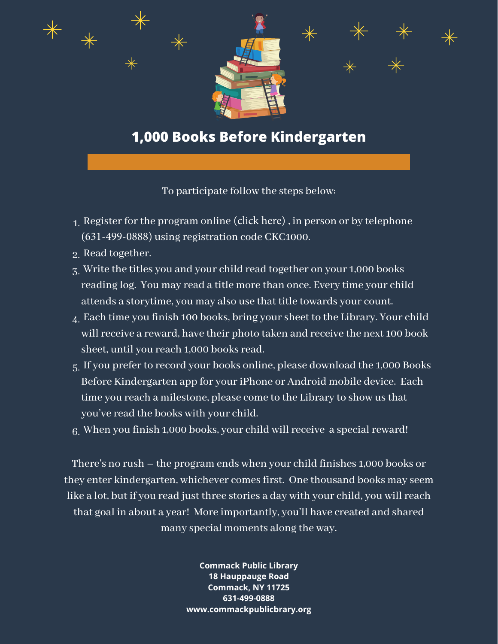

## **1,000 Books Before Kindergarten**

To participate follow the steps below:

- $_{\rm 1.}$  Register for the program online [\(click here\)](https://search.livebrary.com/search/?searchtype=X&SORT=D&searcharg=ckc1000&searchscope=13) , in person or by telephone [\(631-499-0888\)](tel:631-499-0888) using registration code [CKC1000.](https://search.livebrary.com/search/?searchtype=X&SORT=D&searcharg=ckc1000&searchscope=13)
- 2. Read together.
- $_{\rm Z.}$  Write the titles you and your child read together on your 1,000 books reading log. You may read a title more than once. Every time your child attends a storytime, you may also use that title towards your count.
- $_{\rm 4.}$  Each time you finish 100 books, bring your sheet to the Library. Your child will receive a reward, have their photo taken and receive the next 100 book sheet, until you reach 1,000 books read.
- $_5$ . If you prefer to record your books online, please download the 1,000 Books Before Kindergarten app for your iPhone or Android mobile device. Each time you reach a milestone, please come to the Library to show us that you've read the books with your child.

 $6.$  When you finish 1,000 books, your child will receive  $\,$ a special reward!

There's no rush – the program ends when your child finishes 1,000 books or they enter kindergarten, whichever comes first. One thousand books may seem like a lot, but if you read just three stories a day with your child, you will reach that goal in about a year! More importantly, you'll have created and shared many special moments along the way.

> **Commack Public Library 18 Hauppauge Road Commack, NY 11725 631-499-0888 www.commackpublicbrary.org**